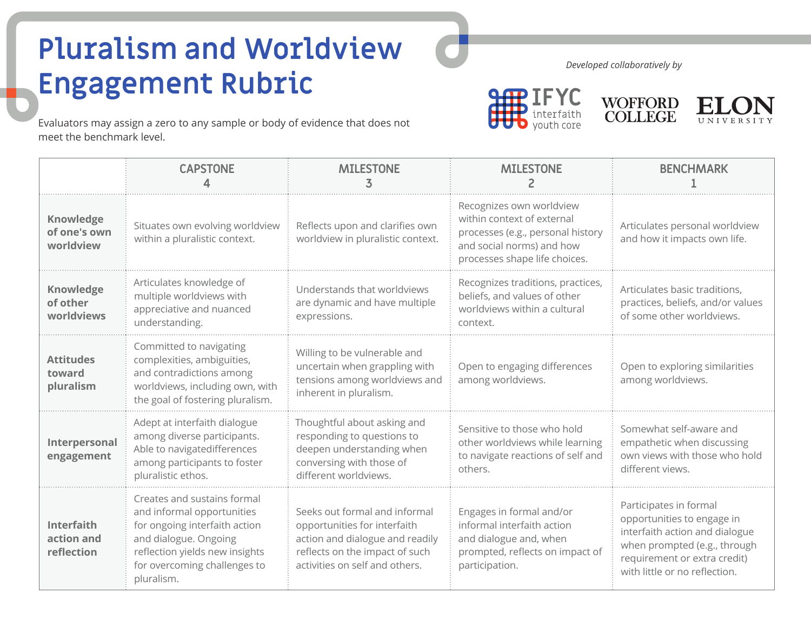# **Pluralism and Worldview Engagement Rubric**

*Developed collaboratively by*







Evaluators may assign a zero to any sample or body of evidence that does not meet the benchmark level.

|                                               | <b>CAPSTONE</b>                                                                                                                                                                                     | <b>MILESTONE</b>                                                                                                                                                     | <b>MILESTONE</b>                                                                                                                                          | <b>BENCHMARK</b>                                                                                                                                                                        |
|-----------------------------------------------|-----------------------------------------------------------------------------------------------------------------------------------------------------------------------------------------------------|----------------------------------------------------------------------------------------------------------------------------------------------------------------------|-----------------------------------------------------------------------------------------------------------------------------------------------------------|-----------------------------------------------------------------------------------------------------------------------------------------------------------------------------------------|
| <b>Knowledge</b><br>of one's own<br>worldview | Situates own evolving worldview<br>within a pluralistic context.                                                                                                                                    | Reflects upon and clarifies own<br>worldview in pluralistic context.                                                                                                 | Recognizes own worldview<br>within context of external<br>processes (e.g., personal history<br>and social norms) and how<br>processes shape life choices. | Articulates personal worldview<br>and how it impacts own life.                                                                                                                          |
| <b>Knowledge</b><br>of other<br>worldviews    | Articulates knowledge of<br>multiple worldviews with<br>appreciative and nuanced<br>understanding.                                                                                                  | Understands that worldviews<br>are dynamic and have multiple<br>expressions.                                                                                         | Recognizes traditions, practices,<br>beliefs, and values of other<br>worldviews within a cultural<br>context.                                             | Articulates basic traditions,<br>practices, beliefs, and/or values<br>of some other worldviews.                                                                                         |
| <b>Attitudes</b><br>toward<br>pluralism       | Committed to navigating<br>complexities, ambiguities,<br>and contradictions among<br>worldviews, including own, with<br>the goal of fostering pluralism.                                            | Willing to be vulnerable and<br>uncertain when grappling with<br>tensions among worldviews and<br>inherent in pluralism.                                             | Open to engaging differences<br>among worldviews.                                                                                                         | Open to exploring similarities<br>among worldviews.                                                                                                                                     |
| Interpersonal<br>engagement                   | Adept at interfaith dialogue<br>among diverse participants.<br>Able to navigatedifferences<br>among participants to foster<br>pluralistic ethos.                                                    | Thoughtful about asking and<br>responding to questions to<br>deepen understanding when<br>conversing with those of<br>different worldviews.                          | Sensitive to those who hold<br>other worldviews while learning<br>to navigate reactions of self and<br>others.                                            | Somewhat self-aware and<br>empathetic when discussing<br>own views with those who hold<br>different views.                                                                              |
| Interfaith<br>action and<br>reflection        | Creates and sustains formal<br>and informal opportunities<br>for ongoing interfaith action<br>and dialogue. Ongoing<br>reflection yields new insights<br>for overcoming challenges to<br>pluralism. | Seeks out formal and informal<br>opportunities for interfaith<br>action and dialogue and readily<br>reflects on the impact of such<br>activities on self and others. | Engages in formal and/or<br>informal interfaith action<br>and dialogue and, when<br>prompted, reflects on impact of<br>participation.                     | Participates in formal<br>opportunities to engage in<br>interfaith action and dialogue<br>when prompted (e.g., through<br>requirement or extra credit)<br>with little or no reflection. |